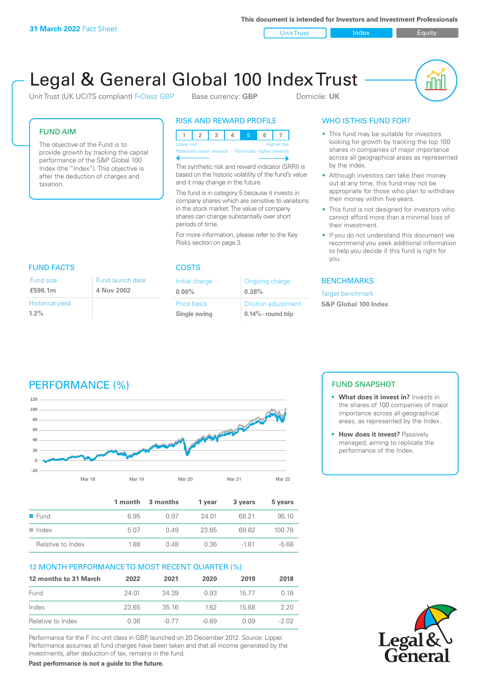**This document is intended for Investors and Investment Professionals**

Unit Trust Index I Equity



# Legal & General Global 100 Index Trust

Unit Trust (UK UCITS compliant) F-Class GBP Base currency: **GBP** Domicile: UK

# FUND AIM

The objective of the Fund is to provide growth by tracking the capital performance of the S&P Global 100 Index (the "Index"). This objective is after the deduction of charges and taxation.

# RISK AND REWARD PROFILE

123 4 5 6 7 Higher risk ntially lower rewards Potentially higher rewards

The synthetic risk and reward indicator (SRRI) is based on the historic volatility of the fund's value and it may change in the future.

The fund is in category 5 because it invests in company shares which are sensitive to variations in the stock market. The value of company shares can change substantially over short periods of time.

For more information, please refer to the Key Risks section on page 3.

| <b>FUND FACTS</b>       |                  |  |
|-------------------------|------------------|--|
| Fund size               | Fund launch date |  |
| £596.1m                 | 4 Nov 2002       |  |
| <b>Historical yield</b> |                  |  |
| $1.2\%$                 |                  |  |

## COSTS

| Initial charge | Ongoing charge             |
|----------------|----------------------------|
| $0.00\%$       | 0.38%                      |
| Price basis    | <b>Dilution adjustment</b> |
| Single swing   | $0.14\%$ - round trip      |

# WHO IS THIS FUND FOR?

- This fund may be suitable for investors looking for growth by tracking the top 100 shares in companies of major importance across all geographical areas as represented by the index.
- Although investors can take their money out at any time, this fund may not be appropriate for those who plan to withdraw their money within five years.
- This fund is not designed for investors who cannot afford more than a minimal loss of their investment.
- If you do not understand this document we recommend you seek additional information to help you decide if this fund is right for you.

# **BENCHMARKS**

Target benchmark

**S&P Global 100 Index**

# PERFORMANCE (%)



|                      |      | 1 month 3 months | 1 vear | 3 years | 5 years |
|----------------------|------|------------------|--------|---------|---------|
| $\blacksquare$ Fund  | 6.95 | O 97             | 24.01  | 68.21   | 95.10   |
| $\blacksquare$ Index | 5.07 | 0.49             | 23.65  | 6982    | 100.78  |
| Relative to Index    | 1.88 | 0.48             | 0.36   | -161    | $-5.68$ |

# 12 MONTH PERFORMANCE TO MOST RECENT QUARTER (%)

| 12 months to 31 March | 2022  | 2021    | 2020  | 2019  | 2018   |
|-----------------------|-------|---------|-------|-------|--------|
| Fund                  | 24 O1 | 34 39   | 0.93  | 15.77 | 0.18   |
| Index                 | 23.65 | 3516    | 162   | 1568  | 220    |
| Relative to Index     | 0.36  | $-0.77$ | -0.69 | O 0.9 | $-202$ |

Performance for the F Inc unit class in GBP, launched on 20 December 2012. Source: Lipper. Performance assumes all fund charges have been taken and that all income generated by the investments, after deduction of tax, remains in the fund.

**Past performance is not a guide to the future.**

# FUND SNAPSHOT

- **• What does it invest in?** Invests in the shares of 100 companies of major importance across all geographical areas, as represented by the Index.
- **• How does it invest?** Passively managed, aiming to replicate the performance of the Index.

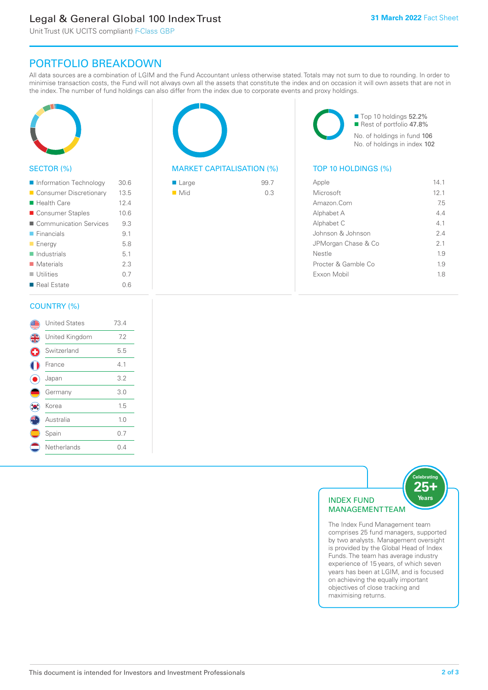# Legal & General Global 100 Index Trust

Unit Trust (UK UCITS compliant) F-Class GBP

# PORTFOLIO BREAKDOWN

All data sources are a combination of LGIM and the Fund Accountant unless otherwise stated. Totals may not sum to due to rounding. In order to minimise transaction costs, the Fund will not always own all the assets that constitute the index and on occasion it will own assets that are not in the index. The number of fund holdings can also differ from the index due to corporate events and proxy holdings.



# SECTOR (%)

| Information Technology     | 30.6 |
|----------------------------|------|
| ■ Consumer Discretionary   | 13.5 |
| ■ Health Care              | 12.4 |
| ■ Consumer Staples         | 10.6 |
| ■ Communication Services   | 9.3  |
| $\blacksquare$ Financials  | 9.1  |
| <b>Energy</b>              | 5.8  |
| $\blacksquare$ Industrials | 5.1  |
| $\blacksquare$ Materials   | 2.3  |
| $\blacksquare$ Utilities   | 0.7  |
| ■ Real Estate              | 0.6  |
|                            |      |

# MARKET CAPITALISATION (%) TOP 10 HOLDINGS (%)

| ■ Large            | 99.7 |
|--------------------|------|
| $\blacksquare$ Mid | 0.3  |

■ Top 10 holdings 52.2% Rest of portfolio 47.8% No. of holdings in fund 106 No. of holdings in index 102

| Apple                | 14 1 |
|----------------------|------|
| Microsoft            | 12.1 |
| Amazon Com           | 75   |
| Alphabet A           | 44   |
| Alphabet C           | 41   |
| Johnson & Johnson    | 24   |
| JPMorgan Chase & Co  | 2.1  |
| Nestle               | 19   |
| Procter & Gamble Co. | 19   |
| Exxon Mobil          | 18   |
|                      |      |

## COUNTRY (%)

|    | <b>United States</b> | 73.4 |  |
|----|----------------------|------|--|
| 4  | United Kingdom       | 7.2  |  |
| G  | Switzerland          | 5.5  |  |
|    | France               | 4.1  |  |
|    | Japan                | 3.2  |  |
|    | Germany              | 3.0  |  |
| 'n | Korea                | 1.5  |  |
|    | Australia            | 1.0  |  |
|    | Spain                | 0.7  |  |
|    | Netherlands          | 0.4  |  |
|    |                      |      |  |



The Index Fund Management team comprises 25 fund managers, supported by two analysts. Management oversight is provided by the Global Head of Index Funds. The team has average industry experience of 15 years, of which seven years has been at LGIM, and is focused on achieving the equally important objectives of close tracking and maximising returns.